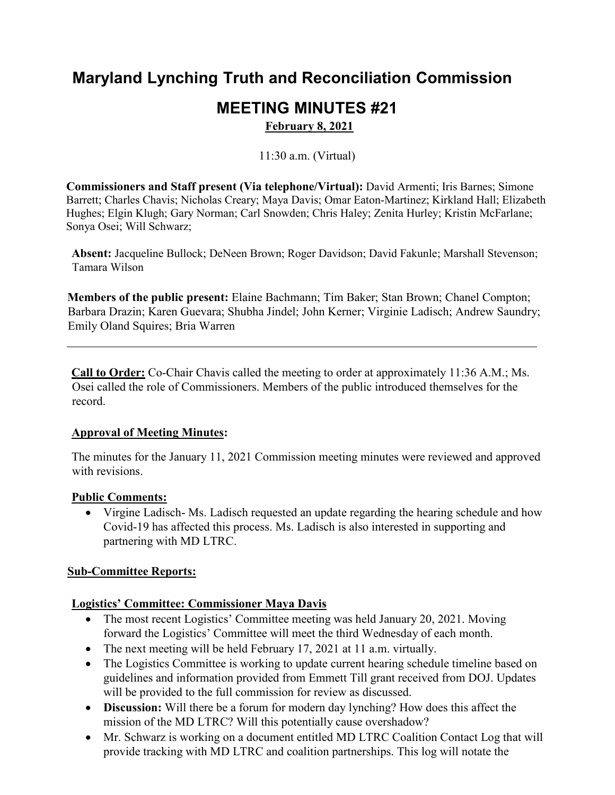## **Maryland Lynching Truth and Reconciliation Commission**

# **MEETING MINUTES #21**

**February 8, 2021** 

11:30 a.m. (Virtual)

**Commissioners and Staff present (Via telephone/Virtual):** David Armenti; Iris Barnes; Simone Barrett; Charles Chavis; Nicholas Creary; Maya Davis; Omar Eaton-Martinez; Kirkland Hall; Elizabeth Hughes; Elgin Klugh; Gary Norman; Carl Snowden; Chris Haley; Zenita Hurley; Kristin McFarlane; Sonya Osei; Will Schwarz;

**Absent:** Jacqueline Bullock; DeNeen Brown; Roger Davidson; David Fakunle; Marshall Stevenson; Tamara Wilson

**Members of the public present:** Elaine Bachmann; Tim Baker; Stan Brown; Chanel Compton; Barbara Drazin; Karen Guevara; Shubha Jindel; John Kerner; Virginie Ladisch; Andrew Saundry; Emily Oland Squires; Bria Warren

 **Call to Order:** Co-Chair Chavis called the meeting to order at approximately 11:36 A.M.; Ms. Osei called the role of Commissioners. Members of the public introduced themselves for the record.

#### **Approval of Meeting Minutes:**

 The minutes for the January 11, 2021 Commission meeting minutes were reviewed and approved with revisions.

#### **Public Comments:**

 • Virgine Ladisch- Ms. Ladisch requested an update regarding the hearing schedule and how Covid-19 has affected this process. Ms. Ladisch is also interested in supporting and partnering with MD LTRC.

#### **Sub-Committee Reports:**

#### **Logistics' Committee: Commissioner Maya Davis**

- forward the Logistics' Committee will meet the third Wednesday of each month. • The most recent Logistics' Committee meeting was held January 20, 2021. Moving
- The next meeting will be held February 17, 2021 at 11 a.m. virtually.
- The Logistics Committee is working to update current hearing schedule timeline based on guidelines and information provided from Emmett Till grant received from DOJ. Updates will be provided to the full commission for review as discussed.
- mission of the MD LTRC? Will this potentially cause overshadow? • **Discussion:** Will there be a forum for modern day lynching? How does this affect the
- • Mr. Schwarz is working on a document entitled MD LTRC Coalition Contact Log that will provide tracking with MD LTRC and coalition partnerships. This log will notate the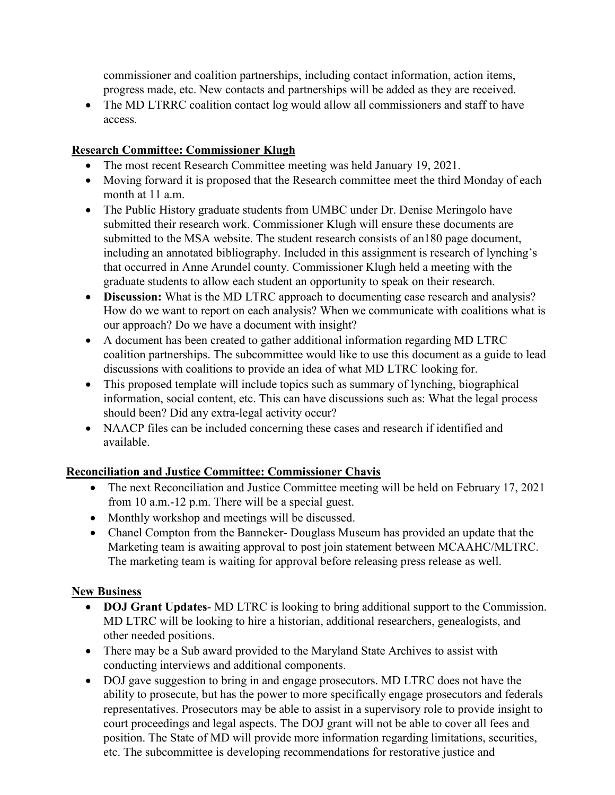commissioner and coalition partnerships, including contact information, action items, progress made, etc. New contacts and partnerships will be added as they are received.

 • The MD LTRRC coalition contact log would allow all commissioners and staff to have access.

### **Research Committee: Commissioner Klugh**

- The most recent Research Committee meeting was held January 19, 2021.
- Moving forward it is proposed that the Research committee meet the third Monday of each month at 11 a.m.
- that occurred in Anne Arundel county. Commissioner Klugh held a meeting with the • The Public History graduate students from UMBC under Dr. Denise Meringolo have submitted their research work. Commissioner Klugh will ensure these documents are submitted to the MSA website. The student research consists of an180 page document, including an annotated bibliography. Included in this assignment is research of lynching's graduate students to allow each student an opportunity to speak on their research.
- • **Discussion:** What is the MD LTRC approach to documenting case research and analysis? How do we want to report on each analysis? When we communicate with coalitions what is our approach? Do we have a document with insight?
- • A document has been created to gather additional information regarding MD LTRC coalition partnerships. The subcommittee would like to use this document as a guide to lead discussions with coalitions to provide an idea of what MD LTRC looking for.
- should been? Did any extra-legal activity occur? • This proposed template will include topics such as summary of lynching, biographical information, social content, etc. This can have discussions such as: What the legal process
- • NAACP files can be included concerning these cases and research if identified and available.

## **Reconciliation and Justice Committee: Commissioner Chavis**

- The next Reconciliation and Justice Committee meeting will be held on February 17, 2021 from 10 a.m.-12 p.m. There will be a special guest.
- Monthly workshop and meetings will be discussed.
- Marketing team is awaiting approval to post join statement between MCAAHC/MLTRC. • Chanel Compton from the Banneker- Douglass Museum has provided an update that the The marketing team is waiting for approval before releasing press release as well.

## **New Business**

- • **DOJ Grant Updates** MD LTRC is looking to bring additional support to the Commission. MD LTRC will be looking to hire a historian, additional researchers, genealogists, and other needed positions.
- There may be a Sub award provided to the Maryland State Archives to assist with conducting interviews and additional components.
- • DOJ gave suggestion to bring in and engage prosecutors. MD LTRC does not have the ability to prosecute, but has the power to more specifically engage prosecutors and federals representatives. Prosecutors may be able to assist in a supervisory role to provide insight to position. The State of MD will provide more information regarding limitations, securities, court proceedings and legal aspects. The DOJ grant will not be able to cover all fees and etc. The subcommittee is developing recommendations for restorative justice and